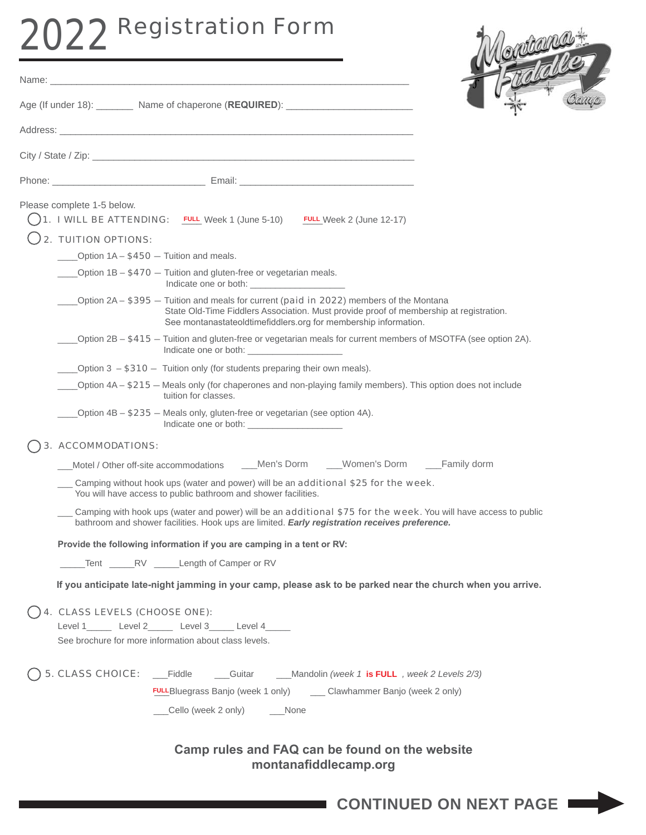# 2022 Registration Form

Name: \_\_\_\_\_\_\_\_\_\_\_\_\_\_\_\_\_\_\_\_\_\_\_\_\_\_\_\_\_\_\_\_\_\_\_\_\_\_\_\_\_\_\_\_\_\_\_\_\_\_\_\_\_\_\_\_\_\_\_\_\_\_\_\_\_\_\_\_



| Age (If under 18): Name of chaperone (REQUIRED): Name of chaperone (REQUIRED):                                                                                                                                                                        |
|-------------------------------------------------------------------------------------------------------------------------------------------------------------------------------------------------------------------------------------------------------|
|                                                                                                                                                                                                                                                       |
|                                                                                                                                                                                                                                                       |
|                                                                                                                                                                                                                                                       |
|                                                                                                                                                                                                                                                       |
| Please complete 1-5 below.<br>1. I WILL BE ATTENDING: FULL Week 1 (June 5-10) FULL Week 2 (June 12-17)                                                                                                                                                |
|                                                                                                                                                                                                                                                       |
| 2. TUITION OPTIONS:                                                                                                                                                                                                                                   |
| Option $1A - $450 -$ Tuition and meals.                                                                                                                                                                                                               |
| ____Option 1B - \$470 - Tuition and gluten-free or vegetarian meals.<br>Indicate one or both: ________________________                                                                                                                                |
| Option $2A - $395 -$ Tuition and meals for current (paid in 2022) members of the Montana<br>State Old-Time Fiddlers Association. Must provide proof of membership at registration.<br>See montanastateoldtimefiddlers.org for membership information. |
| Option 2B - \$415 - Tuition and gluten-free or vegetarian meals for current members of MSOTFA (see option 2A).                                                                                                                                        |
| Option $3 - $310 -$ Tuition only (for students preparing their own meals).                                                                                                                                                                            |
| Option 4A – \$215 – Meals only (for chaperones and non-playing family members). This option does not include<br>tuition for classes.                                                                                                                  |
| Option $4B - $235 -$ Meals only, gluten-free or vegetarian (see option $4A$ ).                                                                                                                                                                        |
| 3. ACCOMMODATIONS:                                                                                                                                                                                                                                    |
| Motel / Other off-site accommodations ____Men's Dorm ____Women's Dorm ____Family dorm                                                                                                                                                                 |
| Camping without hook ups (water and power) will be an additional \$25 for the week.<br>You will have access to public bathroom and shower facilities.                                                                                                 |
| Camping with hook ups (water and power) will be an additional \$75 for the week. You will have access to public<br>bathroom and shower facilities. Hook ups are limited. Early registration receives preference.                                      |
| Provide the following information if you are camping in a tent or RV:                                                                                                                                                                                 |
| Tent RV Length of Camper or RV                                                                                                                                                                                                                        |
| If you anticipate late-night jamming in your camp, please ask to be parked near the church when you arrive.                                                                                                                                           |
| 4. CLASS LEVELS (CHOOSE ONE):                                                                                                                                                                                                                         |
| Level 1_______ Level 2______ Level 3_____ Level 4_____                                                                                                                                                                                                |
| See brochure for more information about class levels.                                                                                                                                                                                                 |
| 5. CLASS CHOICE: __Fiddle ____Guitar ___Mandolin (week 1 is FULL , week 2 Levels 2/3)                                                                                                                                                                 |
| <b>FULL</b> Bluegrass Banjo (week 1 only) ______ Clawhammer Banjo (week 2 only)                                                                                                                                                                       |
| __Cello (week 2 only) _____None                                                                                                                                                                                                                       |
| Camp rules and FAQ can be found on the website<br>montanafiddlecamp.org                                                                                                                                                                               |

**CONTINUED ON NEXT PAGE**